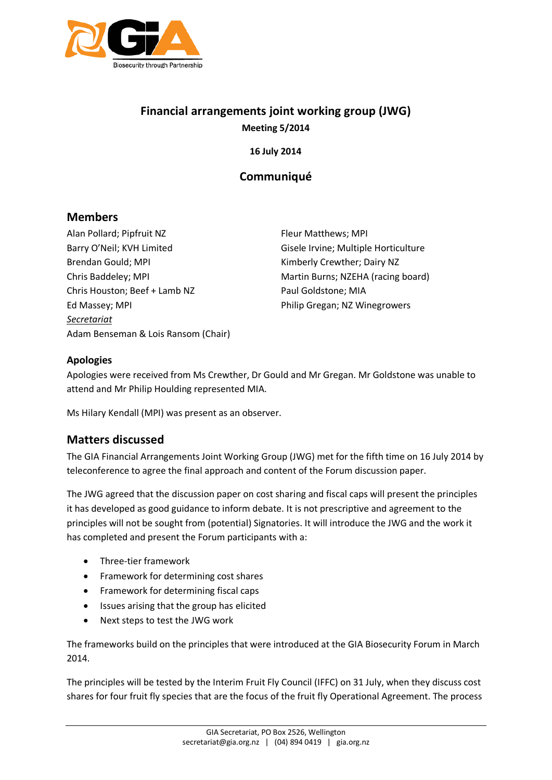

# **Financial arrangements joint working group (JWG) Meeting 5/2014**

**16 July 2014**

## **Communiqué**

### **Members**

Alan Pollard; Pipfruit NZ Barry O'Neil; KVH Limited Brendan Gould; MPI Chris Baddeley; MPI Chris Houston; Beef + Lamb NZ Ed Massey; MPI *Secretariat* Adam Benseman & Lois Ransom (Chair)

Fleur Matthews; MPI Gisele Irvine; Multiple Horticulture Kimberly Crewther; Dairy NZ Martin Burns; NZEHA (racing board) Paul Goldstone; MIA Philip Gregan; NZ Winegrowers

#### **Apologies**

Apologies were received from Ms Crewther, Dr Gould and Mr Gregan. Mr Goldstone was unable to attend and Mr Philip Houlding represented MIA.

Ms Hilary Kendall (MPI) was present as an observer.

### **Matters discussed**

The GIA Financial Arrangements Joint Working Group (JWG) met for the fifth time on 16 July 2014 by teleconference to agree the final approach and content of the Forum discussion paper.

The JWG agreed that the discussion paper on cost sharing and fiscal caps will present the principles it has developed as good guidance to inform debate. It is not prescriptive and agreement to the principles will not be sought from (potential) Signatories. It will introduce the JWG and the work it has completed and present the Forum participants with a:

- Three-tier framework
- Framework for determining cost shares
- Framework for determining fiscal caps
- Issues arising that the group has elicited
- Next steps to test the JWG work

The frameworks build on the principles that were introduced at the GIA Biosecurity Forum in March 2014.

The principles will be tested by the Interim Fruit Fly Council (IFFC) on 31 July, when they discuss cost shares for four fruit fly species that are the focus of the fruit fly Operational Agreement. The process